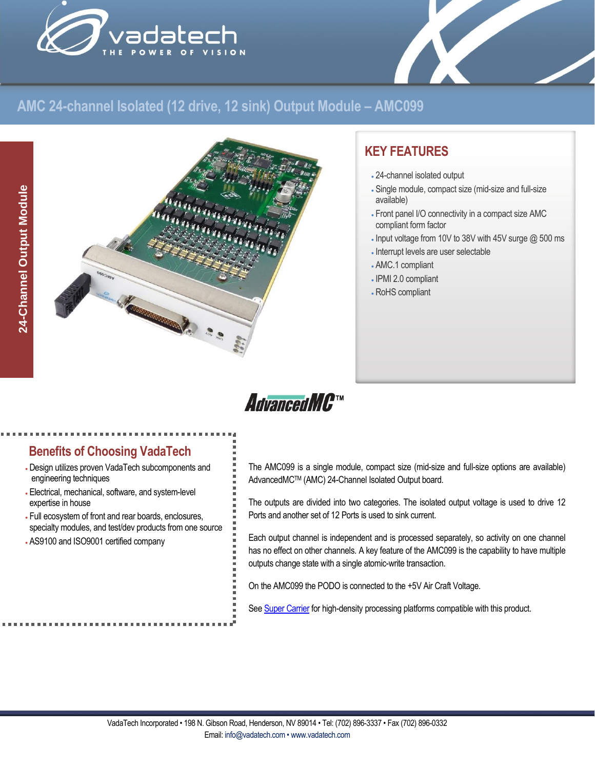



# **AMC 24-channel Isolated (12 drive, 12 sink) Output Module – AMC099**



# **KEY FEATURES**

- 24-channel isolated output
- Single module, compact size (mid-size and full-size available)
- Front panel I/O connectivity in a compact size AMC compliant form factor
- Input voltage from 10V to 38V with 45V surge @ 500 ms
- Interrupt levels are user selectable
- AMC.1 compliant
- IPMI 2.0 compliant
- RoHS compliant



## **Benefits of Choosing VadaTech**

- Design utilizes proven VadaTech subcomponents and engineering techniques
- Electrical, mechanical, software, and system-level expertise in house
- Full ecosystem of front and rear boards, enclosures, specialty modules, and test/dev products from one source
- AS9100 and ISO9001 certified company

The AMC099 is a single module, compact size (mid-size and full-size options are available) AdvancedMCTM (AMC) 24-Channel Isolated Output board.

The outputs are divided into two categories. The isolated output voltage is used to drive 12 Ports and another set of 12 Ports is used to sink current.

Each output channel is independent and is processed separately, so activity on one channel has no effect on other channels. A key feature of the AMC099 is the capability to have multiple outputs change state with a single atomic-write transaction.

On the AMC099 the PODO is connected to the +5V Air Craft Voltage.

Se[e Super Carrier](https://www.vadatech.com/media/pdf_VT835_836_Brouchure.pdf) for high-density processing platforms compatible with this product.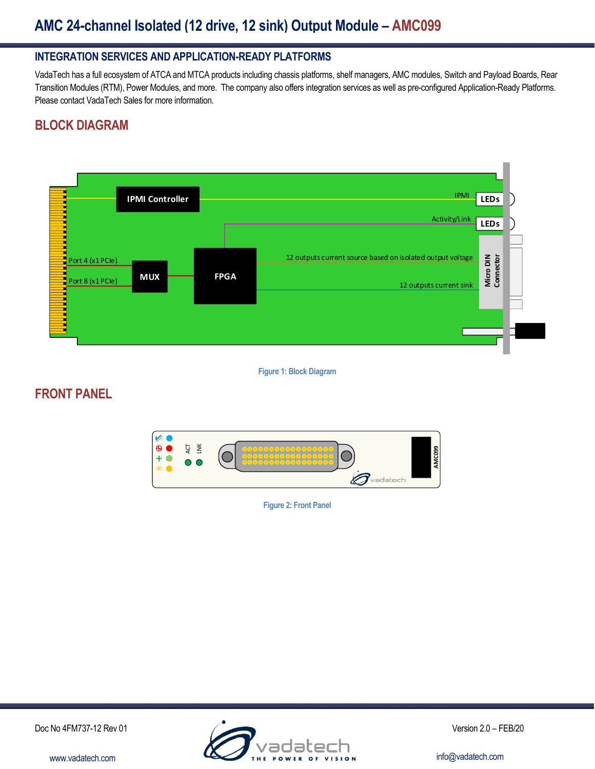# **AMC 24-channel Isolated (12 drive, 12 sink) Output Module – AMC099**

#### **INTEGRATION SERVICES AND APPLICATION-READY PLATFORMS**

VadaTech has a full ecosystem of ATCA and MTCA products including chassis platforms, shelf managers, AMC modules, Switch and Payload Boards, Rear Transition Modules (RTM), Power Modules, and more. The company also offers integration services as well as pre-configured Application-Ready Platforms. Please contact VadaTech Sales for more information.

## **BLOCK DIAGRAM**



**Figure 1: Block Diagram**

## **FRONT PANEL**



**Figure 2: Front Panel**

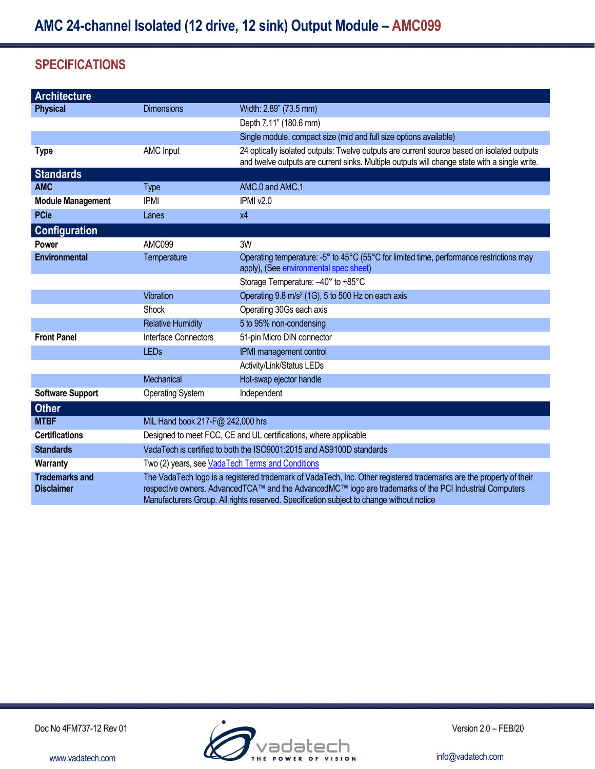## **SPECIFICATIONS**

| Architecture                               |                                                                                                                                                                                                                                                                                                                            |                                                                                               |  |
|--------------------------------------------|----------------------------------------------------------------------------------------------------------------------------------------------------------------------------------------------------------------------------------------------------------------------------------------------------------------------------|-----------------------------------------------------------------------------------------------|--|
| <b>Physical</b>                            | <b>Dimensions</b>                                                                                                                                                                                                                                                                                                          | Width: 2.89" (73.5 mm)                                                                        |  |
|                                            |                                                                                                                                                                                                                                                                                                                            | Depth 7.11" (180.6 mm)                                                                        |  |
|                                            |                                                                                                                                                                                                                                                                                                                            | Single module, compact size (mid and full size options available)                             |  |
| <b>Type</b>                                | <b>AMC Input</b>                                                                                                                                                                                                                                                                                                           | 24 optically isolated outputs: Twelve outputs are current source based on isolated outputs    |  |
|                                            |                                                                                                                                                                                                                                                                                                                            | and twelve outputs are current sinks. Multiple outputs will change state with a single write. |  |
| <b>Standards</b>                           |                                                                                                                                                                                                                                                                                                                            |                                                                                               |  |
| <b>AMC</b>                                 | <b>Type</b>                                                                                                                                                                                                                                                                                                                | AMC.0 and AMC.1                                                                               |  |
| <b>Module Management</b>                   | <b>IPMI</b>                                                                                                                                                                                                                                                                                                                | IPMI v2.0                                                                                     |  |
| <b>PCle</b>                                | Lanes                                                                                                                                                                                                                                                                                                                      | x4                                                                                            |  |
| <b>Configuration</b>                       |                                                                                                                                                                                                                                                                                                                            |                                                                                               |  |
| <b>Power</b>                               | AMC099                                                                                                                                                                                                                                                                                                                     | 3W                                                                                            |  |
| <b>Environmental</b>                       | Temperature                                                                                                                                                                                                                                                                                                                | Operating temperature: -5° to 45°C (55°C for limited time, performance restrictions may       |  |
|                                            |                                                                                                                                                                                                                                                                                                                            | apply), (See environmental spec sheet)                                                        |  |
|                                            |                                                                                                                                                                                                                                                                                                                            | Storage Temperature: -40° to +85°C                                                            |  |
|                                            | Vibration                                                                                                                                                                                                                                                                                                                  | Operating 9.8 m/s <sup>2</sup> (1G), 5 to 500 Hz on each axis                                 |  |
|                                            | Shock                                                                                                                                                                                                                                                                                                                      | Operating 30Gs each axis                                                                      |  |
|                                            | <b>Relative Humidity</b>                                                                                                                                                                                                                                                                                                   | 5 to 95% non-condensing                                                                       |  |
| <b>Front Panel</b>                         | Interface Connectors                                                                                                                                                                                                                                                                                                       | 51-pin Micro DIN connector                                                                    |  |
|                                            | <b>LEDs</b>                                                                                                                                                                                                                                                                                                                | IPMI management control                                                                       |  |
|                                            |                                                                                                                                                                                                                                                                                                                            | Activity/Link/Status LEDs                                                                     |  |
|                                            | Mechanical                                                                                                                                                                                                                                                                                                                 | Hot-swap ejector handle                                                                       |  |
| <b>Software Support</b>                    | <b>Operating System</b>                                                                                                                                                                                                                                                                                                    | Independent                                                                                   |  |
| <b>Other</b>                               |                                                                                                                                                                                                                                                                                                                            |                                                                                               |  |
| <b>MTBF</b>                                | MIL Hand book 217-F@ 242,000 hrs                                                                                                                                                                                                                                                                                           |                                                                                               |  |
| <b>Certifications</b>                      | Designed to meet FCC, CE and UL certifications, where applicable                                                                                                                                                                                                                                                           |                                                                                               |  |
| <b>Standards</b>                           | VadaTech is certified to both the ISO9001:2015 and AS9100D standards                                                                                                                                                                                                                                                       |                                                                                               |  |
| Warranty                                   | Two (2) years, see VadaTech Terms and Conditions                                                                                                                                                                                                                                                                           |                                                                                               |  |
| <b>Trademarks and</b><br><b>Disclaimer</b> | The VadaTech logo is a registered trademark of VadaTech, Inc. Other registered trademarks are the property of their<br>respective owners. AdvancedTCA™ and the AdvancedMC™ logo are trademarks of the PCI Industrial Computers<br>Manufacturers Group. All rights reserved. Specification subject to change without notice |                                                                                               |  |